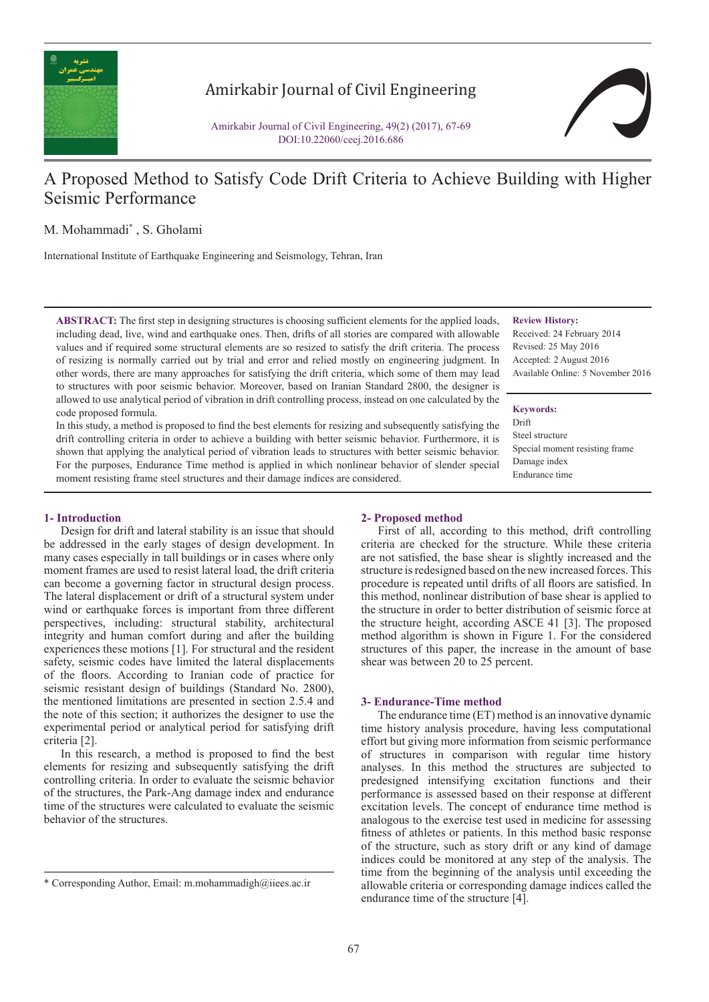

## Amirkabir Journal of Civil Engineering

Amirkabir Journal of Civil Engineering, 49(2) (2017), 67-69 DOI:10.22060/ceej.2016.686

# A Proposed Method to Satisfy Code Drift Criteria to Achieve Building with Higher Seismic Performance

M. Mohammadi\* , S. Gholami

International Institute of Earthquake Engineering and Seismology, Tehran, Iran

**ABSTRACT:** The first step in designing structures is choosing sufficient elements for the applied loads. including dead, live, wind and earthquake ones. Then, drifts of all stories are compared with allowable values and if required some structural elements are so resized to satisfy the drift criteria. The process of resizing is normally carried out by trial and error and relied mostly on engineering judgment. In other words, there are many approaches for satisfying the drift criteria, which some of them may lead to structures with poor seismic behavior. Moreover, based on Iranian Standard 2800, the designer is allowed to use analytical period of vibration in drift controlling process, instead on one calculated by the code proposed formula.

In this study, a method is proposed to find the best elements for resizing and subsequently satisfying the drift controlling criteria in order to achieve a building with better seismic behavior. Furthermore, it is shown that applying the analytical period of vibration leads to structures with better seismic behavior. For the purposes, Endurance Time method is applied in which nonlinear behavior of slender special moment resisting frame steel structures and their damage indices are considered.

#### **1- Introduction**

Design for drift and lateral stability is an issue that should be addressed in the early stages of design development. In many cases especially in tall buildings or in cases where only moment frames are used to resist lateral load, the drift criteria can become a governing factor in structural design process. The lateral displacement or drift of a structural system under wind or earthquake forces is important from three different perspectives, including: structural stability, architectural integrity and human comfort during and after the building experiences these motions [1]. For structural and the resident safety, seismic codes have limited the lateral displacements of the floors. According to Iranian code of practice for seismic resistant design of buildings (Standard No. 2800), the mentioned limitations are presented in section 2.5.4 and the note of this section; it authorizes the designer to use the experimental period or analytical period for satisfying drift criteria [2].

In this research, a method is proposed to find the best elements for resizing and subsequently satisfying the drift controlling criteria. In order to evaluate the seismic behavior of the structures, the Park-Ang damage index and endurance time of the structures were calculated to evaluate the seismic behavior of the structures.

## **2- Proposed method**

First of all, according to this method, drift controlling criteria are checked for the structure. While these criteria are not satisfied, the base shear is slightly increased and the structure is redesigned based on the new increased forces. This procedure is repeated until drifts of all floors are satisfied. In this method, nonlinear distribution of base shear is applied to the structure in order to better distribution of seismic force at the structure height, according ASCE 41 [3]. The proposed method algorithm is shown in Figure 1. For the considered structures of this paper, the increase in the amount of base shear was between 20 to 25 percent.

#### **3- Endurance-Time method**

The endurance time (ET) method is an innovative dynamic time history analysis procedure, having less computational effort but giving more information from seismic performance of structures in comparison with regular time history analyses. In this method the structures are subjected to predesigned intensifying excitation functions and their performance is assessed based on their response at different excitation levels. The concept of endurance time method is analogous to the exercise test used in medicine for assessing fitness of athletes or patients. In this method basic response of the structure, such as story drift or any kind of damage indices could be monitored at any step of the analysis. The time from the beginning of the analysis until exceeding the allowable criteria or corresponding damage indices called the endurance time of the structure [4].

**Review History:** Received: 24 February 2014 Revised: 25 May 2016 Accepted: 2 August 2016

Available Online: 5 November 2016

#### **Keywords:**

Drift Steel structure Special moment resisting frame Damage index Endurance time

<sup>\*</sup> Corresponding Author, Email: m.mohammadigh@iiees.ac.ir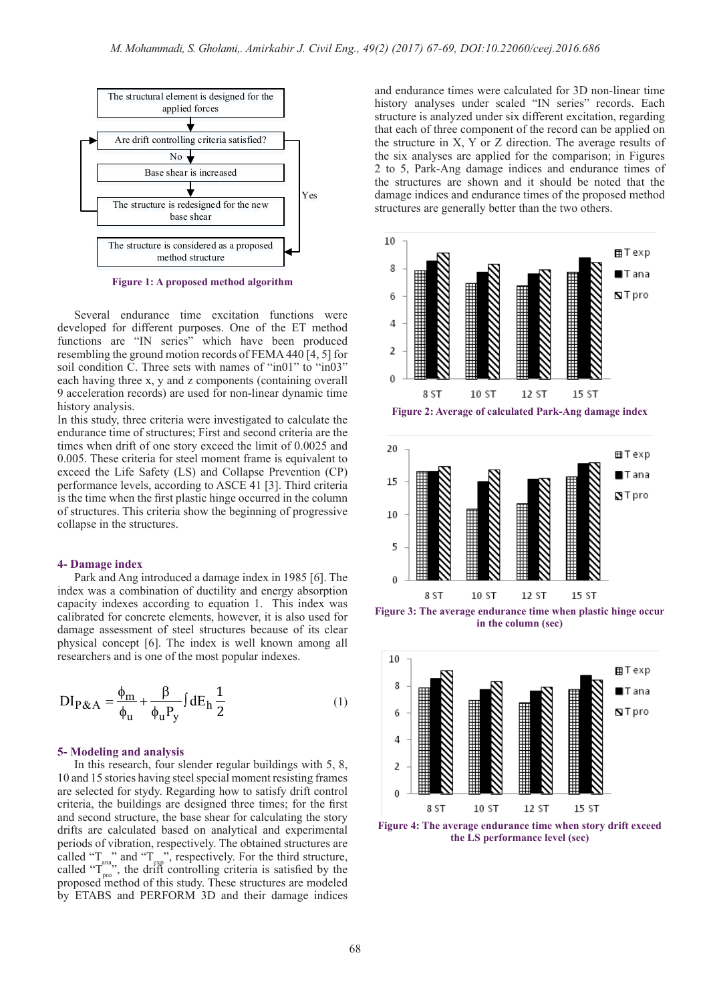

**Figure 1: A proposed method algorithm**

Several endurance time excitation functions were developed for different purposes. One of the ET method functions are "IN series" which have been produced resembling the ground motion records of FEMA 440 [4, 5] for soil condition C. Three sets with names of "in01" to "in03" each having three x, y and z components (containing overall 9 acceleration records) are used for non-linear dynamic time history analysis.

In this study, three criteria were investigated to calculate the endurance time of structures; First and second criteria are the times when drift of one story exceed the limit of 0.0025 and 0.005. These criteria for steel moment frame is equivalent to exceed the Life Safety (LS) and Collapse Prevention (CP) performance levels, according to ASCE 41 [3]. Third criteria is the time when the first plastic hinge occurred in the column of structures. This criteria show the beginning of progressive collapse in the structures.

#### **4- Damage index**

Park and Ang introduced a damage index in 1985 [6]. The index was a combination of ductility and energy absorption capacity indexes according to equation 1. This index was calibrated for concrete elements, however, it is also used for damage assessment of steel structures because of its clear physical concept [6]. The index is well known among all researchers and is one of the most popular indexes.

$$
DI_{P&A} = \frac{\phi_m}{\phi_u} + \frac{\beta}{\phi_u P_y} \int dE_h \frac{1}{2}
$$
 (1)

#### **5- Modeling and analysis**

In this research, four slender regular buildings with 5, 8, 10 and 15 stories having steel special moment resisting frames are selected for stydy. Regarding how to satisfy drift control criteria, the buildings are designed three times; for the first and second structure, the base shear for calculating the story drifts are calculated based on analytical and experimental periods of vibration, respectively. The obtained structures are called " $T_{\text{ana}}$ " and " $T_{\text{exp}}$ ", respectively. For the third structure, called " $T_{\text{pro}}$ ", the drift controlling criteria is satisfied by the proposed method of this study. These structures are modeled by ETABS and PERFORM 3D and their damage indices

and endurance times were calculated for 3D non-linear time history analyses under scaled "IN series" records. Each structure is analyzed under six different excitation, regarding that each of three component of the record can be applied on the structure in X, Y or Z direction. The average results of the six analyses are applied for the comparison; in Figures 2 to 5, Park-Ang damage indices and endurance times of the structures are shown and it should be noted that the damage indices and endurance times of the proposed method structures are generally better than the two others.





**Figure 4: The average endurance time when story drift exceed the LS performance level (sec)**